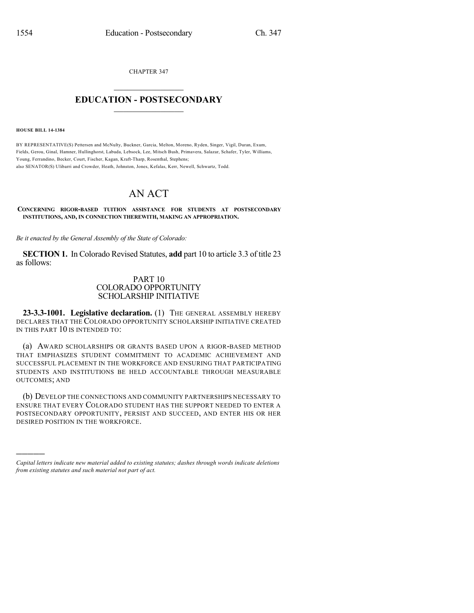CHAPTER 347

## $\overline{\phantom{a}}$  . The set of the set of the set of the set of the set of the set of the set of the set of the set of the set of the set of the set of the set of the set of the set of the set of the set of the set of the set o **EDUCATION - POSTSECONDARY**  $\_$   $\_$   $\_$   $\_$   $\_$   $\_$   $\_$   $\_$   $\_$

**HOUSE BILL 14-1384**

)))))

BY REPRESENTATIVE(S) Pettersen and McNulty, Buckner, Garcia, Melton, Moreno, Ryden, Singer, Vigil, Duran, Exum, Fields, Gerou, Ginal, Hamner, Hullinghorst, Labuda, Lebsock, Lee, Mitsch Bush, Primavera, Salazar, Schafer, Tyler, Williams, Young, Ferrandino, Becker, Court, Fischer, Kagan, Kraft-Tharp, Rosenthal, Stephens; also SENATOR(S) Ulibarri and Crowder, Heath, Johnston, Jones, Kefalas, Kerr, Newell, Schwartz, Todd.

## AN ACT

## **CONCERNING RIGOR-BASED TUITION ASSISTANCE FOR STUDENTS AT POSTSECONDARY INSTITUTIONS, AND, IN CONNECTION THEREWITH, MAKING AN APPROPRIATION.**

*Be it enacted by the General Assembly of the State of Colorado:*

**SECTION 1.** In Colorado Revised Statutes, **add** part 10 to article 3.3 of title 23 as follows:

## PART 10 COLORADO OPPORTUNITY SCHOLARSHIP INITIATIVE

**23-3.3-1001. Legislative declaration.** (1) THE GENERAL ASSEMBLY HEREBY DECLARES THAT THE COLORADO OPPORTUNITY SCHOLARSHIP INITIATIVE CREATED IN THIS PART 10 IS INTENDED TO:

(a) AWARD SCHOLARSHIPS OR GRANTS BASED UPON A RIGOR-BASED METHOD THAT EMPHASIZES STUDENT COMMITMENT TO ACADEMIC ACHIEVEMENT AND SUCCESSFUL PLACEMENT IN THE WORKFORCE AND ENSURING THAT PARTICIPATING STUDENTS AND INSTITUTIONS BE HELD ACCOUNTABLE THROUGH MEASURABLE OUTCOMES; AND

(b) DEVELOP THE CONNECTIONS AND COMMUNITY PARTNERSHIPS NECESSARY TO ENSURE THAT EVERY COLORADO STUDENT HAS THE SUPPORT NEEDED TO ENTER A POSTSECONDARY OPPORTUNITY, PERSIST AND SUCCEED, AND ENTER HIS OR HER DESIRED POSITION IN THE WORKFORCE.

*Capital letters indicate new material added to existing statutes; dashes through words indicate deletions from existing statutes and such material not part of act.*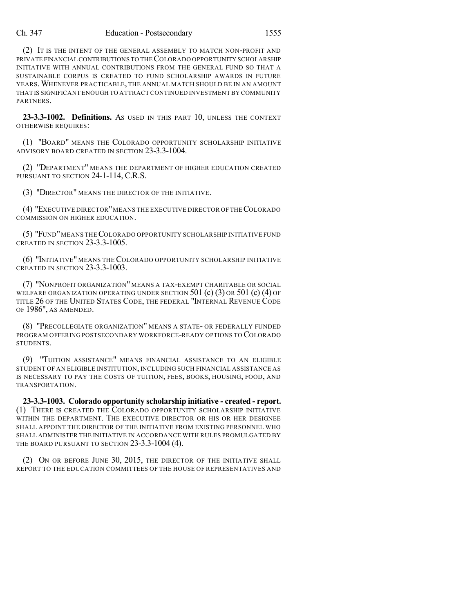(2) IT IS THE INTENT OF THE GENERAL ASSEMBLY TO MATCH NON-PROFIT AND PRIVATE FINANCIAL CONTRIBUTIONS TO THE COLORADO OPPORTUNITY SCHOLARSHIP INITIATIVE WITH ANNUAL CONTRIBUTIONS FROM THE GENERAL FUND SO THAT A SUSTAINABLE CORPUS IS CREATED TO FUND SCHOLARSHIP AWARDS IN FUTURE YEARS.WHENEVER PRACTICABLE, THE ANNUAL MATCH SHOULD BE IN AN AMOUNT THAT IS SIGNIFICANT ENOUGH TO ATTRACT CONTINUED INVESTMENT BY COMMUNITY **PARTNERS** 

**23-3.3-1002. Definitions.** AS USED IN THIS PART 10, UNLESS THE CONTEXT OTHERWISE REQUIRES:

(1) "BOARD" MEANS THE COLORADO OPPORTUNITY SCHOLARSHIP INITIATIVE ADVISORY BOARD CREATED IN SECTION 23-3.3-1004.

(2) "DEPARTMENT" MEANS THE DEPARTMENT OF HIGHER EDUCATION CREATED PURSUANT TO SECTION 24-1-114, C.R.S.

(3) "DIRECTOR" MEANS THE DIRECTOR OF THE INITIATIVE.

(4) "EXECUTIVE DIRECTOR" MEANS THE EXECUTIVE DIRECTOR OF THE COLORADO COMMISSION ON HIGHER EDUCATION.

(5) "FUND"MEANS THECOLORADO OPPORTUNITY SCHOLARSHIP INITIATIVE FUND CREATED IN SECTION 23-3.3-1005.

(6) "INITIATIVE" MEANS THE COLORADO OPPORTUNITY SCHOLARSHIP INITIATIVE CREATED IN SECTION 23-3.3-1003.

(7) "NONPROFIT ORGANIZATION" MEANS A TAX-EXEMPT CHARITABLE OR SOCIAL WELFARE ORGANIZATION OPERATING UNDER SECTION 501 (c) (3) OR 501 (c) (4) OF TITLE 26 OF THE UNITED STATES CODE, THE FEDERAL "INTERNAL REVENUE CODE OF 1986", AS AMENDED.

(8) "PRECOLLEGIATE ORGANIZATION" MEANS A STATE- OR FEDERALLY FUNDED PROGRAM OFFERING POSTSECONDARY WORKFORCE-READY OPTIONS TO COLORADO STUDENTS.

(9) "TUITION ASSISTANCE" MEANS FINANCIAL ASSISTANCE TO AN ELIGIBLE STUDENT OF AN ELIGIBLE INSTITUTION, INCLUDING SUCH FINANCIAL ASSISTANCE AS IS NECESSARY TO PAY THE COSTS OF TUITION, FEES, BOOKS, HOUSING, FOOD, AND TRANSPORTATION.

**23-3.3-1003. Colorado opportunity scholarship initiative - created - report.** (1) THERE IS CREATED THE COLORADO OPPORTUNITY SCHOLARSHIP INITIATIVE WITHIN THE DEPARTMENT. THE EXECUTIVE DIRECTOR OR HIS OR HER DESIGNEE SHALL APPOINT THE DIRECTOR OF THE INITIATIVE FROM EXISTING PERSONNEL WHO SHALL ADMINISTER THE INITIATIVE IN ACCORDANCE WITH RULES PROMULGATED BY THE BOARD PURSUANT TO SECTION 23-3.3-1004 (4).

(2) ON OR BEFORE JUNE 30, 2015, THE DIRECTOR OF THE INITIATIVE SHALL REPORT TO THE EDUCATION COMMITTEES OF THE HOUSE OF REPRESENTATIVES AND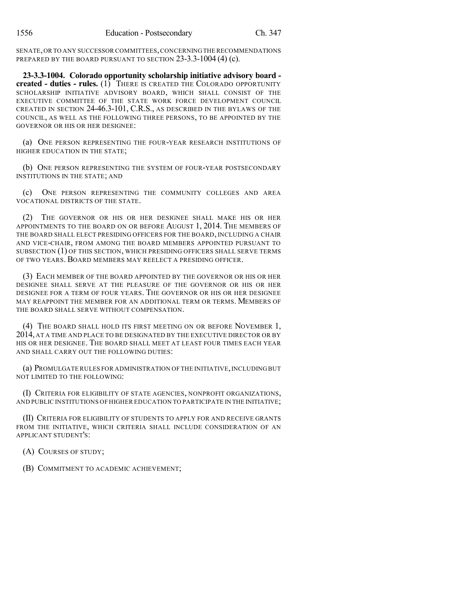SENATE,OR TO ANY SUCCESSOR COMMITTEES,CONCERNINGTHERECOMMENDATIONS PREPARED BY THE BOARD PURSUANT TO SECTION 23-3.3-1004 (4) (c).

**23-3.3-1004. Colorado opportunity scholarship initiative advisory board created - duties - rules.** (1) THERE IS CREATED THE COLORADO OPPORTUNITY SCHOLARSHIP INITIATIVE ADVISORY BOARD, WHICH SHALL CONSIST OF THE EXECUTIVE COMMITTEE OF THE STATE WORK FORCE DEVELOPMENT COUNCIL CREATED IN SECTION 24-46.3-101, C.R.S., AS DESCRIBED IN THE BYLAWS OF THE COUNCIL, AS WELL AS THE FOLLOWING THREE PERSONS, TO BE APPOINTED BY THE GOVERNOR OR HIS OR HER DESIGNEE:

(a) ONE PERSON REPRESENTING THE FOUR-YEAR RESEARCH INSTITUTIONS OF HIGHER EDUCATION IN THE STATE;

(b) ONE PERSON REPRESENTING THE SYSTEM OF FOUR-YEAR POSTSECONDARY INSTITUTIONS IN THE STATE; AND

(c) ONE PERSON REPRESENTING THE COMMUNITY COLLEGES AND AREA VOCATIONAL DISTRICTS OF THE STATE.

(2) THE GOVERNOR OR HIS OR HER DESIGNEE SHALL MAKE HIS OR HER APPOINTMENTS TO THE BOARD ON OR BEFORE AUGUST 1, 2014. THE MEMBERS OF THE BOARD SHALL ELECT PRESIDING OFFICERS FOR THE BOARD, INCLUDING A CHAIR AND VICE-CHAIR, FROM AMONG THE BOARD MEMBERS APPOINTED PURSUANT TO SUBSECTION (1) OF THIS SECTION, WHICH PRESIDING OFFICERS SHALL SERVE TERMS OF TWO YEARS. BOARD MEMBERS MAY REELECT A PRESIDING OFFICER.

(3) EACH MEMBER OF THE BOARD APPOINTED BY THE GOVERNOR OR HIS OR HER DESIGNEE SHALL SERVE AT THE PLEASURE OF THE GOVERNOR OR HIS OR HER DESIGNEE FOR A TERM OF FOUR YEARS. THE GOVERNOR OR HIS OR HER DESIGNEE MAY REAPPOINT THE MEMBER FOR AN ADDITIONAL TERM OR TERMS. MEMBERS OF THE BOARD SHALL SERVE WITHOUT COMPENSATION.

(4) THE BOARD SHALL HOLD ITS FIRST MEETING ON OR BEFORE NOVEMBER 1, 2014, AT A TIME AND PLACE TO BE DESIGNATED BY THE EXECUTIVE DIRECTOR OR BY HIS OR HER DESIGNEE. THE BOARD SHALL MEET AT LEAST FOUR TIMES EACH YEAR AND SHALL CARRY OUT THE FOLLOWING DUTIES:

(a) PROMULGATE RULES FOR ADMINISTRATION OF THE INITIATIVE,INCLUDING BUT NOT LIMITED TO THE FOLLOWING:

(I) CRITERIA FOR ELIGIBILITY OF STATE AGENCIES, NONPROFIT ORGANIZATIONS, AND PUBLIC INSTITUTIONS OF HIGHER EDUCATION TO PARTICIPATE IN THE INITIATIVE;

(II) CRITERIA FOR ELIGIBILITY OF STUDENTS TO APPLY FOR AND RECEIVE GRANTS FROM THE INITIATIVE, WHICH CRITERIA SHALL INCLUDE CONSIDERATION OF AN APPLICANT STUDENT'S:

(A) COURSES OF STUDY;

(B) COMMITMENT TO ACADEMIC ACHIEVEMENT;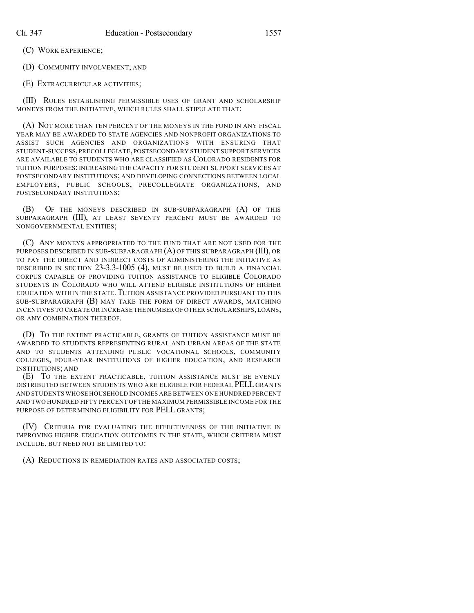(C) WORK EXPERIENCE;

(D) COMMUNITY INVOLVEMENT; AND

(E) EXTRACURRICULAR ACTIVITIES;

(III) RULES ESTABLISHING PERMISSIBLE USES OF GRANT AND SCHOLARSHIP MONEYS FROM THE INITIATIVE, WHICH RULES SHALL STIPULATE THAT:

(A) NOT MORE THAN TEN PERCENT OF THE MONEYS IN THE FUND IN ANY FISCAL YEAR MAY BE AWARDED TO STATE AGENCIES AND NONPROFIT ORGANIZATIONS TO ASSIST SUCH AGENCIES AND ORGANIZATIONS WITH ENSURING THAT STUDENT-SUCCESS,PRECOLLEGIATE,POSTSECONDARY STUDENT SUPPORT SERVICES ARE AVAILABLE TO STUDENTS WHO ARE CLASSIFIED AS COLORADO RESIDENTS FOR TUITION PURPOSES;INCREASING THE CAPACITY FOR STUDENT SUPPORT SERVICES AT POSTSECONDARY INSTITUTIONS; AND DEVELOPING CONNECTIONS BETWEEN LOCAL EMPLOYERS, PUBLIC SCHOOLS, PRECOLLEGIATE ORGANIZATIONS, AND POSTSECONDARY INSTITUTIONS;

(B) OF THE MONEYS DESCRIBED IN SUB-SUBPARAGRAPH (A) OF THIS SUBPARAGRAPH (III), AT LEAST SEVENTY PERCENT MUST BE AWARDED TO NONGOVERNMENTAL ENTITIES;

(C) ANY MONEYS APPROPRIATED TO THE FUND THAT ARE NOT USED FOR THE PURPOSES DESCRIBED IN SUB-SUBPARAGRAPH (A) OF THIS SUBPARAGRAPH (III), OR TO PAY THE DIRECT AND INDIRECT COSTS OF ADMINISTERING THE INITIATIVE AS DESCRIBED IN SECTION 23-3.3-1005 (4), MUST BE USED TO BUILD A FINANCIAL CORPUS CAPABLE OF PROVIDING TUITION ASSISTANCE TO ELIGIBLE COLORADO STUDENTS IN COLORADO WHO WILL ATTEND ELIGIBLE INSTITUTIONS OF HIGHER EDUCATION WITHIN THE STATE. TUITION ASSISTANCE PROVIDED PURSUANT TO THIS SUB-SUBPARAGRAPH (B) MAY TAKE THE FORM OF DIRECT AWARDS, MATCHING INCENTIVES TO CREATE OR INCREASE THE NUMBER OFOTHER SCHOLARSHIPS,LOANS, OR ANY COMBINATION THEREOF.

(D) TO THE EXTENT PRACTICABLE, GRANTS OF TUITION ASSISTANCE MUST BE AWARDED TO STUDENTS REPRESENTING RURAL AND URBAN AREAS OF THE STATE AND TO STUDENTS ATTENDING PUBLIC VOCATIONAL SCHOOLS, COMMUNITY COLLEGES, FOUR-YEAR INSTITUTIONS OF HIGHER EDUCATION, AND RESEARCH INSTITUTIONS; AND

(E) TO THE EXTENT PRACTICABLE, TUITION ASSISTANCE MUST BE EVENLY DISTRIBUTED BETWEEN STUDENTS WHO ARE ELIGIBLE FOR FEDERAL PELL GRANTS AND STUDENTS WHOSE HOUSEHOLD INCOMES ARE BETWEEN ONE HUNDRED PERCENT AND TWO HUNDRED FIFTY PERCENT OF THE MAXIMUM PERMISSIBLE INCOME FOR THE PURPOSE OF DETERMINING ELIGIBILITY FOR PELL GRANTS;

(IV) CRITERIA FOR EVALUATING THE EFFECTIVENESS OF THE INITIATIVE IN IMPROVING HIGHER EDUCATION OUTCOMES IN THE STATE, WHICH CRITERIA MUST INCLUDE, BUT NEED NOT BE LIMITED TO:

(A) REDUCTIONS IN REMEDIATION RATES AND ASSOCIATED COSTS;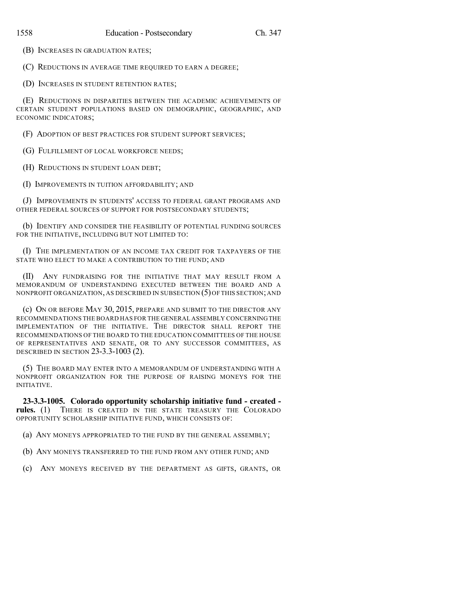(B) INCREASES IN GRADUATION RATES;

(C) REDUCTIONS IN AVERAGE TIME REQUIRED TO EARN A DEGREE;

(D) INCREASES IN STUDENT RETENTION RATES;

(E) REDUCTIONS IN DISPARITIES BETWEEN THE ACADEMIC ACHIEVEMENTS OF CERTAIN STUDENT POPULATIONS BASED ON DEMOGRAPHIC, GEOGRAPHIC, AND ECONOMIC INDICATORS;

(F) ADOPTION OF BEST PRACTICES FOR STUDENT SUPPORT SERVICES;

(G) FULFILLMENT OF LOCAL WORKFORCE NEEDS;

(H) REDUCTIONS IN STUDENT LOAN DEBT;

(I) IMPROVEMENTS IN TUITION AFFORDABILITY; AND

(J) IMPROVEMENTS IN STUDENTS' ACCESS TO FEDERAL GRANT PROGRAMS AND OTHER FEDERAL SOURCES OF SUPPORT FOR POSTSECONDARY STUDENTS;

(b) IDENTIFY AND CONSIDER THE FEASIBILITY OF POTENTIAL FUNDING SOURCES FOR THE INITIATIVE, INCLUDING BUT NOT LIMITED TO:

(I) THE IMPLEMENTATION OF AN INCOME TAX CREDIT FOR TAXPAYERS OF THE STATE WHO ELECT TO MAKE A CONTRIBUTION TO THE FUND; AND

(II) ANY FUNDRAISING FOR THE INITIATIVE THAT MAY RESULT FROM A MEMORANDUM OF UNDERSTANDING EXECUTED BETWEEN THE BOARD AND A NONPROFIT ORGANIZATION, AS DESCRIBED IN SUBSECTION  $(5)$  OF THIS SECTION; AND

(c) ON OR BEFORE MAY 30, 2015, PREPARE AND SUBMIT TO THE DIRECTOR ANY RECOMMENDATIONS THE BOARD HAS FOR THE GENERAL ASSEMBLY CONCERNINGTHE IMPLEMENTATION OF THE INITIATIVE. THE DIRECTOR SHALL REPORT THE RECOMMENDATIONS OF THE BOARD TO THE EDUCATION COMMITTEES OF THE HOUSE OF REPRESENTATIVES AND SENATE, OR TO ANY SUCCESSOR COMMITTEES, AS DESCRIBED IN SECTION 23-3.3-1003 (2).

(5) THE BOARD MAY ENTER INTO A MEMORANDUM OF UNDERSTANDING WITH A NONPROFIT ORGANIZATION FOR THE PURPOSE OF RAISING MONEYS FOR THE INITIATIVE.

**23-3.3-1005. Colorado opportunity scholarship initiative fund - created rules.** (1) THERE IS CREATED IN THE STATE TREASURY THE COLORADO OPPORTUNITY SCHOLARSHIP INITIATIVE FUND, WHICH CONSISTS OF:

(a) ANY MONEYS APPROPRIATED TO THE FUND BY THE GENERAL ASSEMBLY;

- (b) ANY MONEYS TRANSFERRED TO THE FUND FROM ANY OTHER FUND; AND
- (c) ANY MONEYS RECEIVED BY THE DEPARTMENT AS GIFTS, GRANTS, OR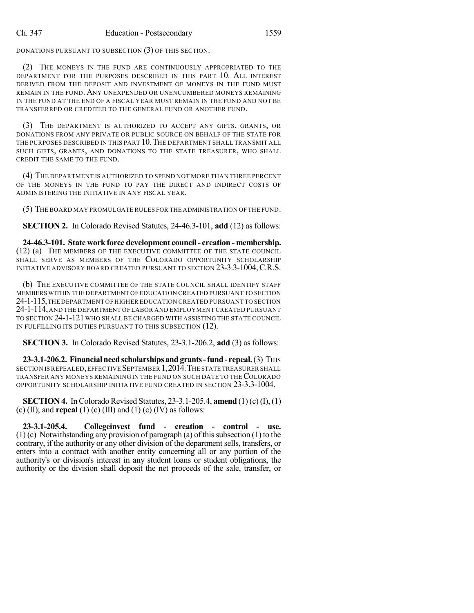DONATIONS PURSUANT TO SUBSECTION (3) OF THIS SECTION.

(2) THE MONEYS IN THE FUND ARE CONTINUOUSLY APPROPRIATED TO THE DEPARTMENT FOR THE PURPOSES DESCRIBED IN THIS PART 10. ALL INTEREST DERIVED FROM THE DEPOSIT AND INVESTMENT OF MONEYS IN THE FUND MUST REMAIN IN THE FUND. ANY UNEXPENDED OR UNENCUMBERED MONEYS REMAINING IN THE FUND AT THE END OF A FISCAL YEAR MUST REMAIN IN THE FUND AND NOT BE TRANSFERRED OR CREDITED TO THE GENERAL FUND OR ANOTHER FUND.

(3) THE DEPARTMENT IS AUTHORIZED TO ACCEPT ANY GIFTS, GRANTS, OR DONATIONS FROM ANY PRIVATE OR PUBLIC SOURCE ON BEHALF OF THE STATE FOR THE PURPOSES DESCRIBED IN THIS PART 10.THE DEPARTMENT SHALL TRANSMIT ALL SUCH GIFTS, GRANTS, AND DONATIONS TO THE STATE TREASURER, WHO SHALL CREDIT THE SAME TO THE FUND.

(4) THE DEPARTMENT IS AUTHORIZED TO SPEND NOT MORE THAN THREE PERCENT OF THE MONEYS IN THE FUND TO PAY THE DIRECT AND INDIRECT COSTS OF ADMINISTERING THE INITIATIVE IN ANY FISCAL YEAR.

(5) THE BOARD MAY PROMULGATE RULES FOR THE ADMINISTRATION OF THE FUND.

**SECTION 2.** In Colorado Revised Statutes, 24-46.3-101, **add** (12) as follows:

**24-46.3-101. State workforce development council- creation - membership.** (12) (a) THE MEMBERS OF THE EXECUTIVE COMMITTEE OF THE STATE COUNCIL SHALL SERVE AS MEMBERS OF THE COLORADO OPPORTUNITY SCHOLARSHIP INITIATIVE ADVISORY BOARD CREATED PURSUANT TO SECTION 23-3.3-1004,C.R.S.

(b) THE EXECUTIVE COMMITTEE OF THE STATE COUNCIL SHALL IDENTIFY STAFF MEMBERS WITHIN THE DEPARTMENT OF EDUCATION CREATED PURSUANT TO SECTION 24-1-115,THE DEPARTMENT OF HIGHER EDUCATION CREATED PURSUANT TO SECTION 24-1-114,AND THE DEPARTMENT OF LABOR AND EMPLOYMENT CREATED PURSUANT TO SECTION 24-1-121WHO SHALL BE CHARGED WITH ASSISTING THE STATE COUNCIL IN FULFILLING ITS DUTIES PURSUANT TO THIS SUBSECTION (12).

**SECTION 3.** In Colorado Revised Statutes, 23-3.1-206.2, **add** (3) as follows:

**23-3.1-206.2. Financial need scholarships and grants-fund-repeal.** (3) THIS SECTION IS REPEALED,EFFECTIVE SEPTEMBER 1,2014.THE STATE TREASURER SHALL TRANSFER ANY MONEYS REMAINING IN THE FUND ON SUCH DATE TO THECOLORADO OPPORTUNITY SCHOLARSHIP INITIATIVE FUND CREATED IN SECTION 23-3.3-1004.

**SECTION 4.** In Colorado Revised Statutes, 23-3.1-205.4, **amend** (1) (c) (I), (1) (c) (II); and **repeal** (1) (c) (III) and (1) (c) (IV) as follows:

**23-3.1-205.4. Collegeinvest fund - creation - control - use.**  $(1)$  (c) Notwithstanding any provision of paragraph (a) of this subsection (1) to the contrary, if the authority or any other division of the department sells, transfers, or enters into a contract with another entity concerning all or any portion of the authority's or division's interest in any student loans or student obligations, the authority or the division shall deposit the net proceeds of the sale, transfer, or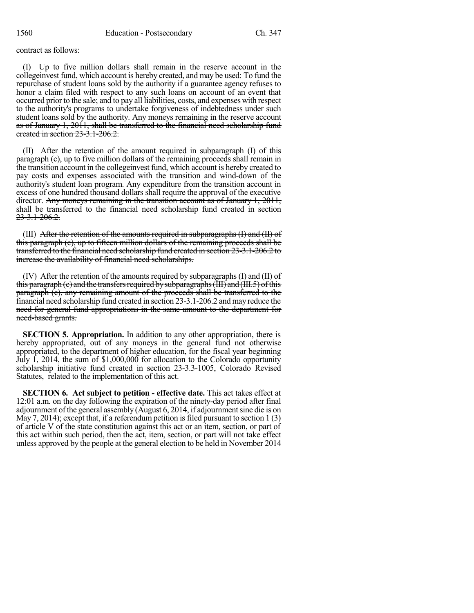contract as follows:

(I) Up to five million dollars shall remain in the reserve account in the collegeinvest fund, which account is hereby created, and may be used: To fund the repurchase of student loans sold by the authority if a guarantee agency refuses to honor a claim filed with respect to any such loans on account of an event that occurred prior to the sale; and to pay all liabilities, costs, and expenses with respect to the authority's programs to undertake forgiveness of indebtedness under such student loans sold by the authority. Any moneys remaining in the reserve account as of January 1, 2011, shall be transferred to the financial need scholarship fund created in section 23-3.1-206.2.

(II) After the retention of the amount required in subparagraph (I) of this paragraph (c), up to five million dollars of the remaining proceeds shall remain in the transition account in the collegeinvest fund, which account is hereby created to pay costs and expenses associated with the transition and wind-down of the authority's student loan program. Any expenditure from the transition account in excess of one hundred thousand dollars shall require the approval of the executive director. Any moneys remaining in the transition account as of January 1, 2011, shall be transferred to the financial need scholarship fund created in section  $23 - 3.1 - 206.2$ 

(III) After the retention of the amounts required in subparagraphs  $(I)$  and  $(II)$  of this paragraph (c), up to fifteen million dollars of the remaining proceeds shall be transferred to the financial need scholarship fund created in section 23-3.1-206.2 to increase the availability of financial need scholarships.

(IV) After the retention of the amounts required by subparagraphs (I) and (II) of this paragraph  $(e)$  and the transfers required by subparagraphs (III) and (III.5) of this paragraph (c), any remaining amount of the proceeds shall be transferred to the financial need scholarship fund created in section 23-3.1-206.2 and may reduce the need for general fund appropriations in the same amount to the department for need-based grants.

**SECTION 5. Appropriation.** In addition to any other appropriation, there is hereby appropriated, out of any moneys in the general fund not otherwise appropriated, to the department of higher education, for the fiscal year beginning July 1, 2014, the sum of \$1,000,000 for allocation to the Colorado opportunity scholarship initiative fund created in section 23-3.3-1005, Colorado Revised Statutes, related to the implementation of this act.

**SECTION 6. Act subject to petition - effective date.** This act takes effect at 12:01 a.m. on the day following the expiration of the ninety-day period after final adjournment ofthe general assembly (August 6, 2014, if adjournmentsine die is on May 7, 2014); except that, if a referendum petition is filed pursuant to section  $1(3)$ of article V of the state constitution against this act or an item, section, or part of this act within such period, then the act, item, section, or part will not take effect unless approved by the people at the general election to be held in November 2014